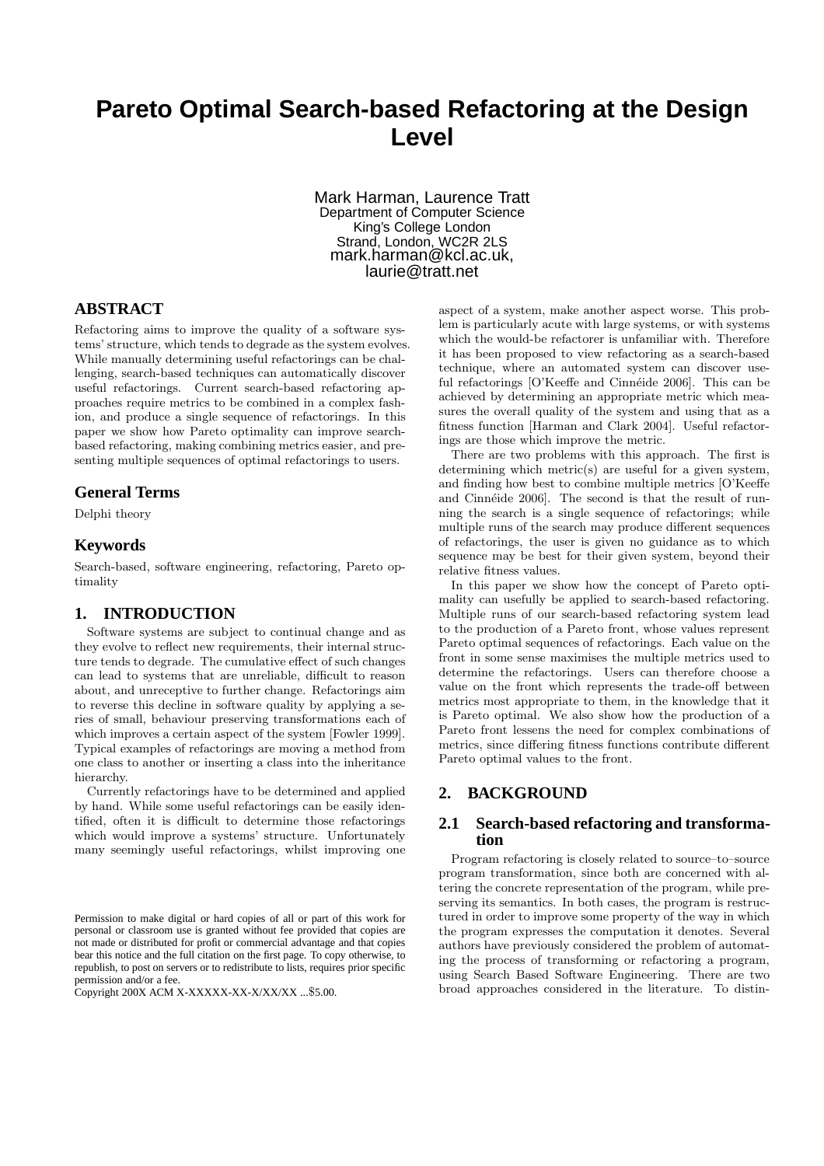# **Pareto Optimal Search-based Refactoring at the Design Level**

Mark Harman, Laurence Tratt Department of Computer Science King's College London Strand, London, WC2R 2LS mark.harman@kcl.ac.uk, laurie@tratt.net

## **ABSTRACT**

Refactoring aims to improve the quality of a software systems' structure, which tends to degrade as the system evolves. While manually determining useful refactorings can be challenging, search-based techniques can automatically discover useful refactorings. Current search-based refactoring approaches require metrics to be combined in a complex fashion, and produce a single sequence of refactorings. In this paper we show how Pareto optimality can improve searchbased refactoring, making combining metrics easier, and presenting multiple sequences of optimal refactorings to users.

## **General Terms**

Delphi theory

#### **Keywords**

Search-based, software engineering, refactoring, Pareto optimality

## **1. INTRODUCTION**

Software systems are subject to continual change and as they evolve to reflect new requirements, their internal structure tends to degrade. The cumulative effect of such changes can lead to systems that are unreliable, difficult to reason about, and unreceptive to further change. Refactorings aim to reverse this decline in software quality by applying a series of small, behaviour preserving transformations each of which improves a certain aspect of the system [Fowler 1999]. Typical examples of refactorings are moving a method from one class to another or inserting a class into the inheritance hierarchy.

Currently refactorings have to be determined and applied by hand. While some useful refactorings can be easily identified, often it is difficult to determine those refactorings which would improve a systems' structure. Unfortunately many seemingly useful refactorings, whilst improving one

aspect of a system, make another aspect worse. This problem is particularly acute with large systems, or with systems which the would-be refactorer is unfamiliar with. Therefore it has been proposed to view refactoring as a search-based technique, where an automated system can discover useful refactorings [O'Keeffe and Cinnéide 2006]. This can be achieved by determining an appropriate metric which measures the overall quality of the system and using that as a fitness function [Harman and Clark 2004]. Useful refactorings are those which improve the metric.

There are two problems with this approach. The first is determining which metric(s) are useful for a given system, and finding how best to combine multiple metrics [O'Keeffe and Cinnéide 2006]. The second is that the result of running the search is a single sequence of refactorings; while multiple runs of the search may produce different sequences of refactorings, the user is given no guidance as to which sequence may be best for their given system, beyond their relative fitness values.

In this paper we show how the concept of Pareto optimality can usefully be applied to search-based refactoring. Multiple runs of our search-based refactoring system lead to the production of a Pareto front, whose values represent Pareto optimal sequences of refactorings. Each value on the front in some sense maximises the multiple metrics used to determine the refactorings. Users can therefore choose a value on the front which represents the trade-off between metrics most appropriate to them, in the knowledge that it is Pareto optimal. We also show how the production of a Pareto front lessens the need for complex combinations of metrics, since differing fitness functions contribute different Pareto optimal values to the front.

## **2. BACKGROUND**

## **2.1 Search-based refactoring and transformation**

Program refactoring is closely related to source–to–source program transformation, since both are concerned with altering the concrete representation of the program, while preserving its semantics. In both cases, the program is restructured in order to improve some property of the way in which the program expresses the computation it denotes. Several authors have previously considered the problem of automating the process of transforming or refactoring a program, using Search Based Software Engineering. There are two broad approaches considered in the literature. To distin-

Permission to make digital or hard copies of all or part of this work for personal or classroom use is granted without fee provided that copies are not made or distributed for profit or commercial advantage and that copies bear this notice and the full citation on the first page. To copy otherwise, to republish, to post on servers or to redistribute to lists, requires prior specific permission and/or a fee.

Copyright 200X ACM X-XXXXX-XX-X/XX/XX ...\$5.00.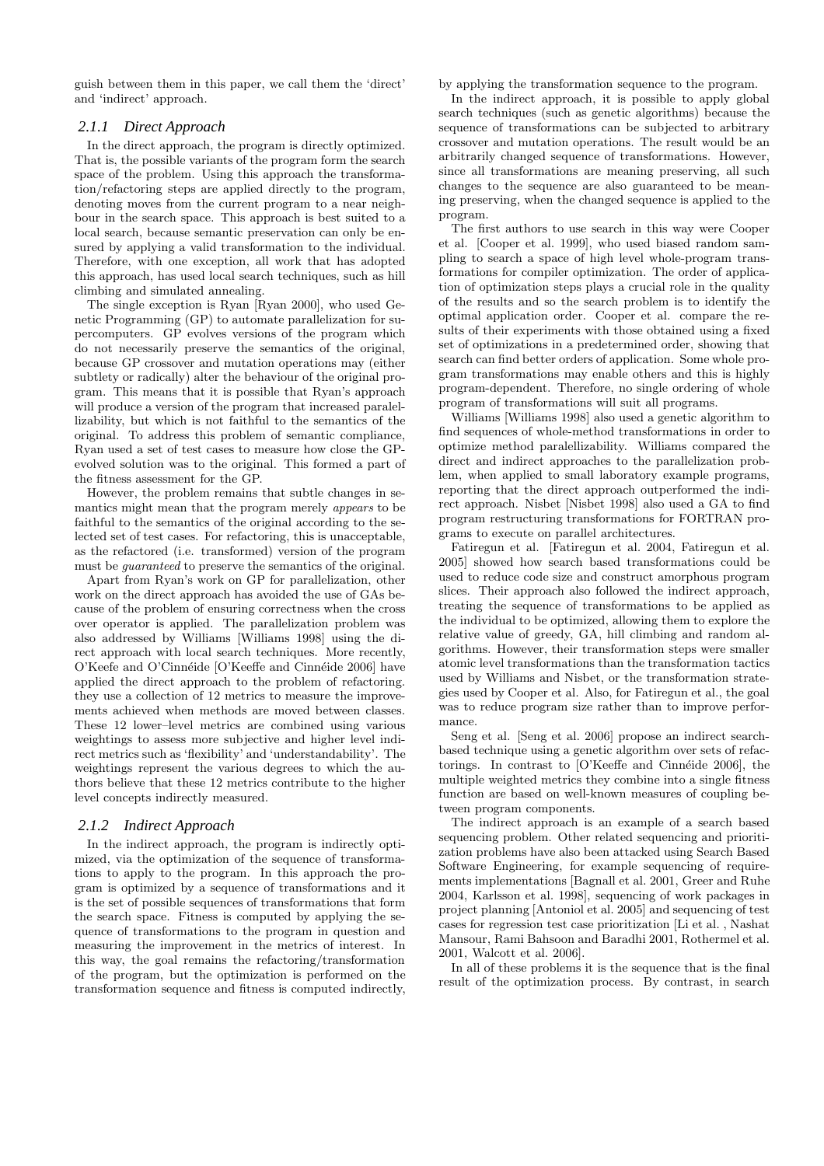guish between them in this paper, we call them the 'direct' and 'indirect' approach.

#### *2.1.1 Direct Approach*

In the direct approach, the program is directly optimized. That is, the possible variants of the program form the search space of the problem. Using this approach the transformation/refactoring steps are applied directly to the program, denoting moves from the current program to a near neighbour in the search space. This approach is best suited to a local search, because semantic preservation can only be ensured by applying a valid transformation to the individual. Therefore, with one exception, all work that has adopted this approach, has used local search techniques, such as hill climbing and simulated annealing.

The single exception is Ryan [Ryan 2000], who used Genetic Programming (GP) to automate parallelization for supercomputers. GP evolves versions of the program which do not necessarily preserve the semantics of the original, because GP crossover and mutation operations may (either subtlety or radically) alter the behaviour of the original program. This means that it is possible that Ryan's approach will produce a version of the program that increased paralellizability, but which is not faithful to the semantics of the original. To address this problem of semantic compliance, Ryan used a set of test cases to measure how close the GPevolved solution was to the original. This formed a part of the fitness assessment for the GP.

However, the problem remains that subtle changes in semantics might mean that the program merely appears to be faithful to the semantics of the original according to the selected set of test cases. For refactoring, this is unacceptable, as the refactored (i.e. transformed) version of the program must be guaranteed to preserve the semantics of the original.

Apart from Ryan's work on GP for parallelization, other work on the direct approach has avoided the use of GAs because of the problem of ensuring correctness when the cross over operator is applied. The parallelization problem was also addressed by Williams [Williams 1998] using the direct approach with local search techniques. More recently, O'Keefe and O'Cinnéide [O'Keeffe and Cinnéide 2006] have applied the direct approach to the problem of refactoring. they use a collection of 12 metrics to measure the improvements achieved when methods are moved between classes. These 12 lower–level metrics are combined using various weightings to assess more subjective and higher level indirect metrics such as 'flexibility' and 'understandability'. The weightings represent the various degrees to which the authors believe that these 12 metrics contribute to the higher level concepts indirectly measured.

#### *2.1.2 Indirect Approach*

In the indirect approach, the program is indirectly optimized, via the optimization of the sequence of transformations to apply to the program. In this approach the program is optimized by a sequence of transformations and it is the set of possible sequences of transformations that form the search space. Fitness is computed by applying the sequence of transformations to the program in question and measuring the improvement in the metrics of interest. In this way, the goal remains the refactoring/transformation of the program, but the optimization is performed on the transformation sequence and fitness is computed indirectly, by applying the transformation sequence to the program.

In the indirect approach, it is possible to apply global search techniques (such as genetic algorithms) because the sequence of transformations can be subjected to arbitrary crossover and mutation operations. The result would be an arbitrarily changed sequence of transformations. However, since all transformations are meaning preserving, all such changes to the sequence are also guaranteed to be meaning preserving, when the changed sequence is applied to the program.

The first authors to use search in this way were Cooper et al. [Cooper et al. 1999], who used biased random sampling to search a space of high level whole-program transformations for compiler optimization. The order of application of optimization steps plays a crucial role in the quality of the results and so the search problem is to identify the optimal application order. Cooper et al. compare the results of their experiments with those obtained using a fixed set of optimizations in a predetermined order, showing that search can find better orders of application. Some whole program transformations may enable others and this is highly program-dependent. Therefore, no single ordering of whole program of transformations will suit all programs.

Williams [Williams 1998] also used a genetic algorithm to find sequences of whole-method transformations in order to optimize method paralellizability. Williams compared the direct and indirect approaches to the parallelization problem, when applied to small laboratory example programs, reporting that the direct approach outperformed the indirect approach. Nisbet [Nisbet 1998] also used a GA to find program restructuring transformations for FORTRAN programs to execute on parallel architectures.

Fatiregun et al. [Fatiregun et al. 2004, Fatiregun et al. 2005] showed how search based transformations could be used to reduce code size and construct amorphous program slices. Their approach also followed the indirect approach, treating the sequence of transformations to be applied as the individual to be optimized, allowing them to explore the relative value of greedy, GA, hill climbing and random algorithms. However, their transformation steps were smaller atomic level transformations than the transformation tactics used by Williams and Nisbet, or the transformation strategies used by Cooper et al. Also, for Fatiregun et al., the goal was to reduce program size rather than to improve performance.

Seng et al. [Seng et al. 2006] propose an indirect searchbased technique using a genetic algorithm over sets of refactorings. In contrast to [O'Keeffe and Cinnéide 2006], the multiple weighted metrics they combine into a single fitness function are based on well-known measures of coupling between program components.

The indirect approach is an example of a search based sequencing problem. Other related sequencing and prioritization problems have also been attacked using Search Based Software Engineering, for example sequencing of requirements implementations [Bagnall et al. 2001, Greer and Ruhe 2004, Karlsson et al. 1998], sequencing of work packages in project planning [Antoniol et al. 2005] and sequencing of test cases for regression test case prioritization [Li et al. , Nashat Mansour, Rami Bahsoon and Baradhi 2001, Rothermel et al. 2001, Walcott et al. 2006].

In all of these problems it is the sequence that is the final result of the optimization process. By contrast, in search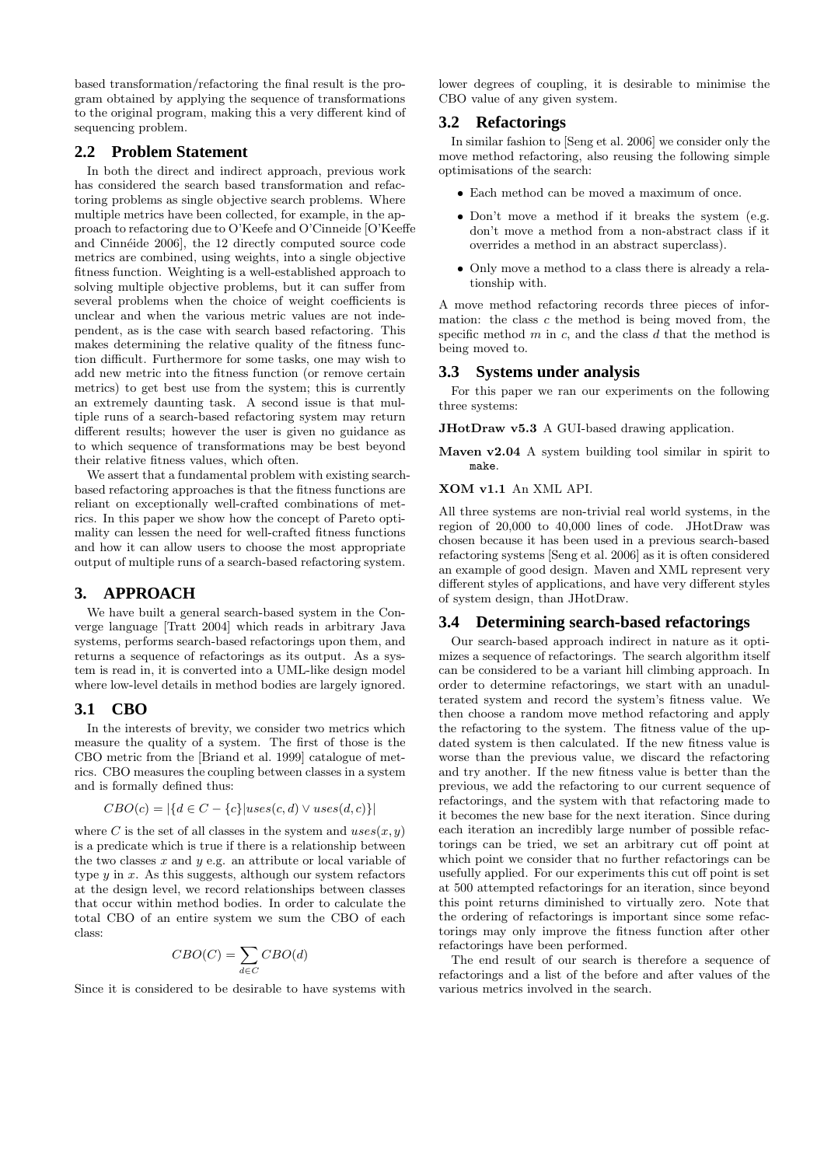based transformation/refactoring the final result is the program obtained by applying the sequence of transformations to the original program, making this a very different kind of sequencing problem.

## **2.2 Problem Statement**

In both the direct and indirect approach, previous work has considered the search based transformation and refactoring problems as single objective search problems. Where multiple metrics have been collected, for example, in the approach to refactoring due to O'Keefe and O'Cinneide [O'Keeffe and Cinnéide 2006], the 12 directly computed source code metrics are combined, using weights, into a single objective fitness function. Weighting is a well-established approach to solving multiple objective problems, but it can suffer from several problems when the choice of weight coefficients is unclear and when the various metric values are not independent, as is the case with search based refactoring. This makes determining the relative quality of the fitness function difficult. Furthermore for some tasks, one may wish to add new metric into the fitness function (or remove certain metrics) to get best use from the system; this is currently an extremely daunting task. A second issue is that multiple runs of a search-based refactoring system may return different results; however the user is given no guidance as to which sequence of transformations may be best beyond their relative fitness values, which often.

We assert that a fundamental problem with existing searchbased refactoring approaches is that the fitness functions are reliant on exceptionally well-crafted combinations of metrics. In this paper we show how the concept of Pareto optimality can lessen the need for well-crafted fitness functions and how it can allow users to choose the most appropriate output of multiple runs of a search-based refactoring system.

# **3. APPROACH**

We have built a general search-based system in the Converge language [Tratt 2004] which reads in arbitrary Java systems, performs search-based refactorings upon them, and returns a sequence of refactorings as its output. As a system is read in, it is converted into a UML-like design model where low-level details in method bodies are largely ignored.

## **3.1 CBO**

In the interests of brevity, we consider two metrics which measure the quality of a system. The first of those is the CBO metric from the [Briand et al. 1999] catalogue of metrics. CBO measures the coupling between classes in a system and is formally defined thus:

$$
CBO(c) = |\{d \in C - \{c\}| uses(c, d) \lor uses(d, c)\}|
$$

where C is the set of all classes in the system and  $uses(x, y)$ is a predicate which is true if there is a relationship between the two classes  $x$  and  $y$  e.g. an attribute or local variable of type  $y$  in  $x$ . As this suggests, although our system refactors at the design level, we record relationships between classes that occur within method bodies. In order to calculate the total CBO of an entire system we sum the CBO of each class:

$$
CBO(C) = \sum_{d \in C} CBO(d)
$$

Since it is considered to be desirable to have systems with

lower degrees of coupling, it is desirable to minimise the CBO value of any given system.

## **3.2 Refactorings**

In similar fashion to [Seng et al. 2006] we consider only the move method refactoring, also reusing the following simple optimisations of the search:

- Each method can be moved a maximum of once.
- Don't move a method if it breaks the system (e.g. don't move a method from a non-abstract class if it overrides a method in an abstract superclass).
- Only move a method to a class there is already a relationship with.

A move method refactoring records three pieces of information: the class  $c$  the method is being moved from, the specific method  $m$  in  $c$ , and the class  $d$  that the method is being moved to.

#### **3.3 Systems under analysis**

For this paper we ran our experiments on the following three systems:

**JHotDraw v5.3** A GUI-based drawing application.

Maven v2.04 A system building tool similar in spirit to make.

#### XOM v1.1 An XML API.

All three systems are non-trivial real world systems, in the region of 20,000 to 40,000 lines of code. JHotDraw was chosen because it has been used in a previous search-based refactoring systems [Seng et al. 2006] as it is often considered an example of good design. Maven and XML represent very different styles of applications, and have very different styles of system design, than JHotDraw.

#### **3.4 Determining search-based refactorings**

Our search-based approach indirect in nature as it optimizes a sequence of refactorings. The search algorithm itself can be considered to be a variant hill climbing approach. In order to determine refactorings, we start with an unadulterated system and record the system's fitness value. We then choose a random move method refactoring and apply the refactoring to the system. The fitness value of the updated system is then calculated. If the new fitness value is worse than the previous value, we discard the refactoring and try another. If the new fitness value is better than the previous, we add the refactoring to our current sequence of refactorings, and the system with that refactoring made to it becomes the new base for the next iteration. Since during each iteration an incredibly large number of possible refactorings can be tried, we set an arbitrary cut off point at which point we consider that no further refactorings can be usefully applied. For our experiments this cut off point is set at 500 attempted refactorings for an iteration, since beyond this point returns diminished to virtually zero. Note that the ordering of refactorings is important since some refactorings may only improve the fitness function after other refactorings have been performed.

The end result of our search is therefore a sequence of refactorings and a list of the before and after values of the various metrics involved in the search.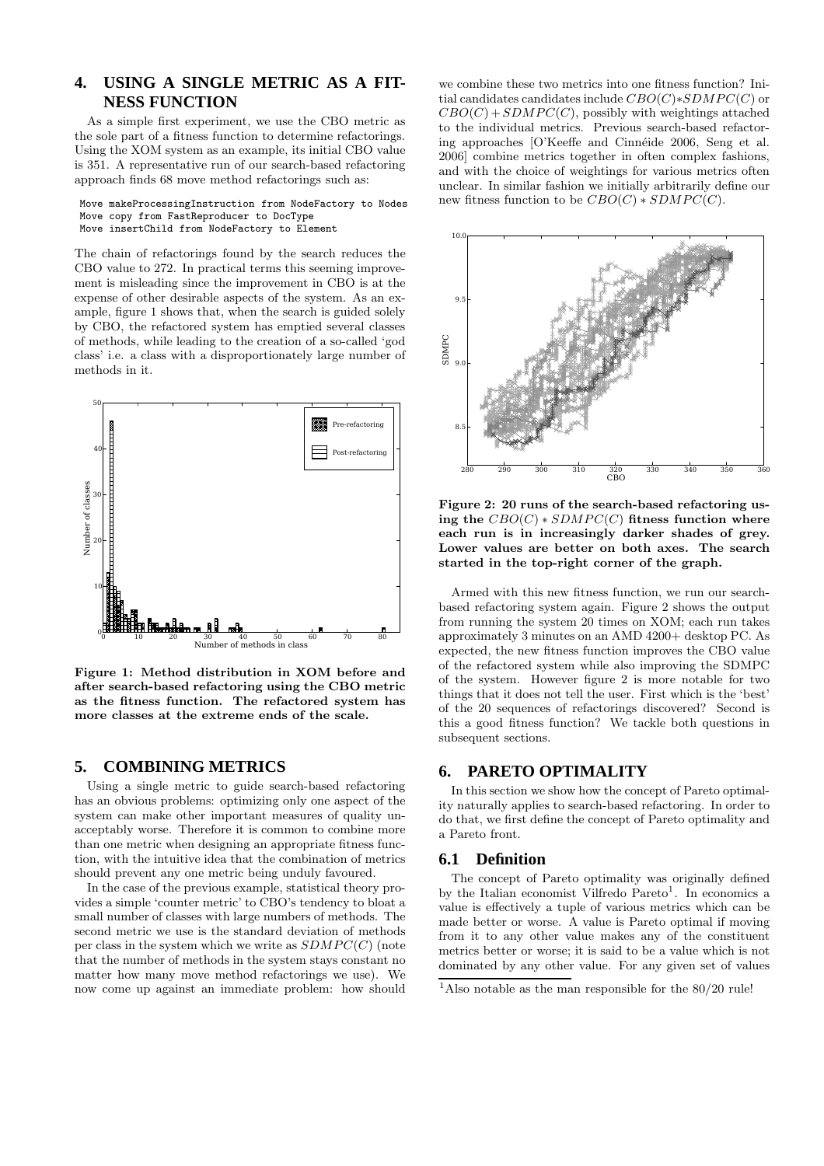# **4. USING A SINGLE METRIC AS A FIT-NESS FUNCTION**

As a simple first experiment, we use the CBO metric as the sole part of a fitness function to determine refactorings. Using the XOM system as an example, its initial CBO value is 351. A representative run of our search-based refactoring approach finds 68 move method refactorings such as:

Move makeProcessingInstruction from NodeFactory to Nodes Move copy from FastReproducer to DocType Move insertChild from NodeFactory to Element

The chain of refactorings found by the search reduces the CBO value to 272. In practical terms this seeming improvement is misleading since the improvement in CBO is at the expense of other desirable aspects of the system. As an example, figure 1 shows that, when the search is guided solely by CBO, the refactored system has emptied several classes of methods, while leading to the creation of a so-called 'god class' i.e. a class with a disproportionately large number of methods in it.



Figure 1: Method distribution in XOM before and after search-based refactoring using the CBO metric as the fitness function. The refactored system has more classes at the extreme ends of the scale.

# **5. COMBINING METRICS**

Using a single metric to guide search-based refactoring has an obvious problems: optimizing only one aspect of the system can make other important measures of quality unacceptably worse. Therefore it is common to combine more than one metric when designing an appropriate fitness function, with the intuitive idea that the combination of metrics should prevent any one metric being unduly favoured.

In the case of the previous example, statistical theory provides a simple 'counter metric' to CBO's tendency to bloat a small number of classes with large numbers of methods. The second metric we use is the standard deviation of methods per class in the system which we write as  $SDMPC(C)$  (note that the number of methods in the system stays constant no matter how many move method refactorings we use). We now come up against an immediate problem: how should

we combine these two metrics into one fitness function? Initial candidates candidates include  $CBO(C) * SDMPC(C)$  or  $CBO(C) + SDMPC(C)$ , possibly with weightings attached to the individual metrics. Previous search-based refactoring approaches [O'Keeffe and Cinnéide 2006, Seng et al. 2006] combine metrics together in often complex fashions, and with the choice of weightings for various metrics often unclear. In similar fashion we initially arbitrarily define our new fitness function to be  $CBO(C) * SDMPC(C)$ .



Figure 2: 20 runs of the search-based refactoring using the  $CBO(C) * SDMPC(C)$  fitness function where each run is in increasingly darker shades of grey. Lower values are better on both axes. The search started in the top-right corner of the graph.

Armed with this new fitness function, we run our searchbased refactoring system again. Figure 2 shows the output from running the system 20 times on XOM; each run takes approximately 3 minutes on an AMD 4200+ desktop PC. As expected, the new fitness function improves the CBO value of the refactored system while also improving the SDMPC of the system. However figure 2 is more notable for two things that it does not tell the user. First which is the 'best' of the 20 sequences of refactorings discovered? Second is this a good fitness function? We tackle both questions in subsequent sections.

## **6. PARETO OPTIMALITY**

In this section we show how the concept of Pareto optimality naturally applies to search-based refactoring. In order to do that, we first define the concept of Pareto optimality and a Pareto front.

#### **6.1 Definition**

The concept of Pareto optimality was originally defined by the Italian economist Vilfredo Pareto<sup>1</sup>. In economics a value is effectively a tuple of various metrics which can be made better or worse. A value is Pareto optimal if moving from it to any other value makes any of the constituent metrics better or worse; it is said to be a value which is not dominated by any other value. For any given set of values

<sup>&</sup>lt;sup>1</sup>Also notable as the man responsible for the  $80/20$  rule!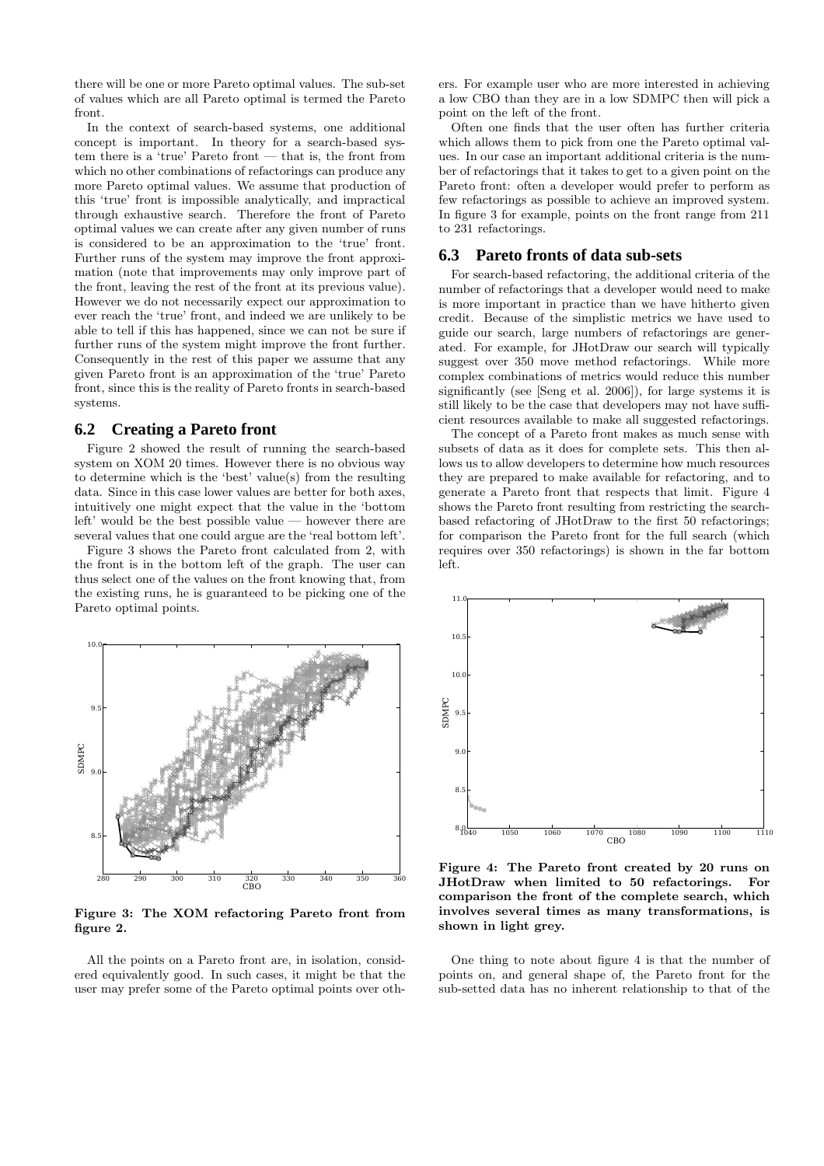there will be one or more Pareto optimal values. The sub-set of values which are all Pareto optimal is termed the Pareto front.

In the context of search-based systems, one additional concept is important. In theory for a search-based system there is a 'true' Pareto front — that is, the front from which no other combinations of refactorings can produce any more Pareto optimal values. We assume that production of this 'true' front is impossible analytically, and impractical through exhaustive search. Therefore the front of Pareto optimal values we can create after any given number of runs is considered to be an approximation to the 'true' front. Further runs of the system may improve the front approximation (note that improvements may only improve part of the front, leaving the rest of the front at its previous value). However we do not necessarily expect our approximation to ever reach the 'true' front, and indeed we are unlikely to be able to tell if this has happened, since we can not be sure if further runs of the system might improve the front further. Consequently in the rest of this paper we assume that any given Pareto front is an approximation of the 'true' Pareto front, since this is the reality of Pareto fronts in search-based systems.

## **6.2 Creating a Pareto front**

Figure 2 showed the result of running the search-based system on XOM 20 times. However there is no obvious way to determine which is the 'best' value(s) from the resulting data. Since in this case lower values are better for both axes, intuitively one might expect that the value in the 'bottom left' would be the best possible value — however there are several values that one could argue are the 'real bottom left'.

Figure 3 shows the Pareto front calculated from 2, with the front is in the bottom left of the graph. The user can thus select one of the values on the front knowing that, from the existing runs, he is guaranteed to be picking one of the Pareto optimal points.



Figure 3: The XOM refactoring Pareto front from figure 2.

All the points on a Pareto front are, in isolation, considered equivalently good. In such cases, it might be that the user may prefer some of the Pareto optimal points over oth-

ers. For example user who are more interested in achieving a low CBO than they are in a low SDMPC then will pick a point on the left of the front.

Often one finds that the user often has further criteria which allows them to pick from one the Pareto optimal values. In our case an important additional criteria is the number of refactorings that it takes to get to a given point on the Pareto front: often a developer would prefer to perform as few refactorings as possible to achieve an improved system. In figure 3 for example, points on the front range from 211 to 231 refactorings.

## **6.3 Pareto fronts of data sub-sets**

For search-based refactoring, the additional criteria of the number of refactorings that a developer would need to make is more important in practice than we have hitherto given credit. Because of the simplistic metrics we have used to guide our search, large numbers of refactorings are generated. For example, for JHotDraw our search will typically suggest over 350 move method refactorings. While more complex combinations of metrics would reduce this number significantly (see [Seng et al. 2006]), for large systems it is still likely to be the case that developers may not have sufficient resources available to make all suggested refactorings.

The concept of a Pareto front makes as much sense with subsets of data as it does for complete sets. This then allows us to allow developers to determine how much resources they are prepared to make available for refactoring, and to generate a Pareto front that respects that limit. Figure 4 shows the Pareto front resulting from restricting the searchbased refactoring of JHotDraw to the first 50 refactorings; for comparison the Pareto front for the full search (which requires over 350 refactorings) is shown in the far bottom left.



Figure 4: The Pareto front created by 20 runs on JHotDraw when limited to 50 refactorings. For comparison the front of the complete search, which involves several times as many transformations, is shown in light grey.

One thing to note about figure 4 is that the number of points on, and general shape of, the Pareto front for the sub-setted data has no inherent relationship to that of the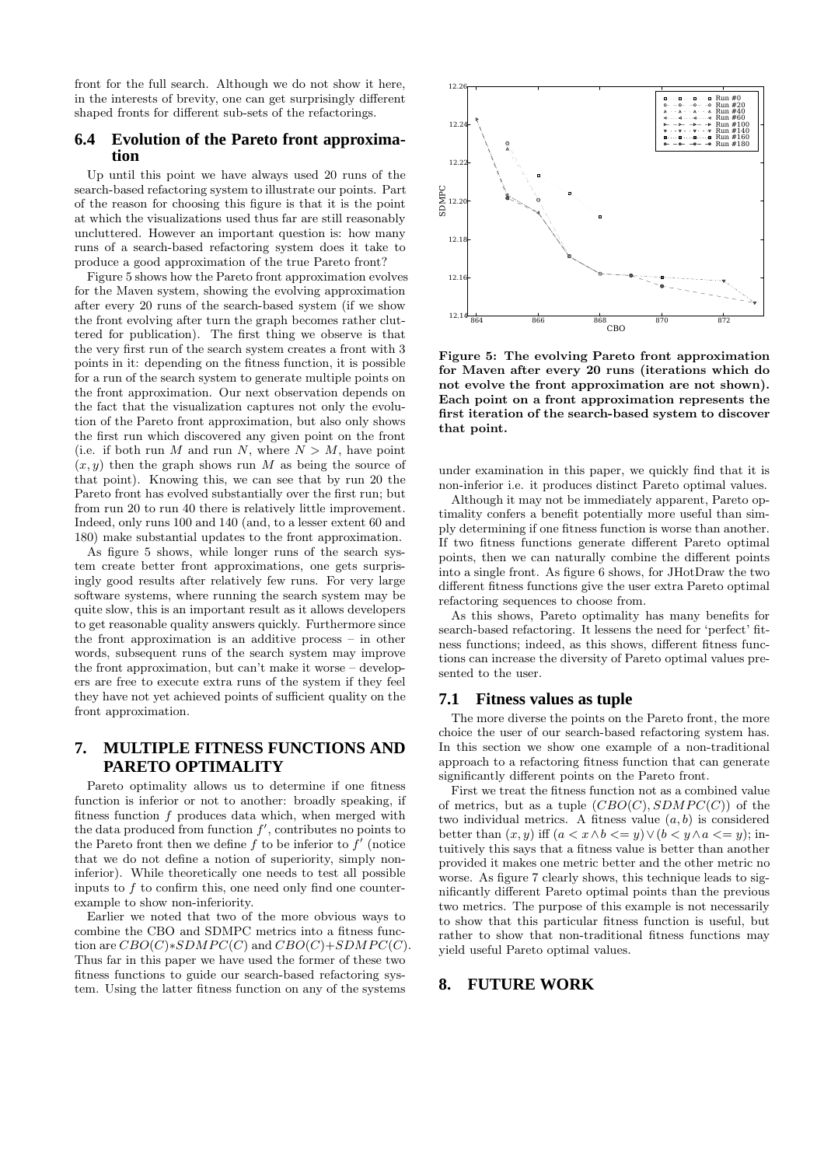front for the full search. Although we do not show it here, in the interests of brevity, one can get surprisingly different shaped fronts for different sub-sets of the refactorings.

## **6.4 Evolution of the Pareto front approximation**

Up until this point we have always used 20 runs of the search-based refactoring system to illustrate our points. Part of the reason for choosing this figure is that it is the point at which the visualizations used thus far are still reasonably uncluttered. However an important question is: how many runs of a search-based refactoring system does it take to produce a good approximation of the true Pareto front?

Figure 5 shows how the Pareto front approximation evolves for the Maven system, showing the evolving approximation after every 20 runs of the search-based system (if we show the front evolving after turn the graph becomes rather cluttered for publication). The first thing we observe is that the very first run of the search system creates a front with 3 points in it: depending on the fitness function, it is possible for a run of the search system to generate multiple points on the front approximation. Our next observation depends on the fact that the visualization captures not only the evolution of the Pareto front approximation, but also only shows the first run which discovered any given point on the front (i.e. if both run M and run N, where  $N > M$ , have point  $(x, y)$  then the graph shows run M as being the source of that point). Knowing this, we can see that by run 20 the Pareto front has evolved substantially over the first run; but from run 20 to run 40 there is relatively little improvement. Indeed, only runs 100 and 140 (and, to a lesser extent 60 and 180) make substantial updates to the front approximation.

As figure 5 shows, while longer runs of the search system create better front approximations, one gets surprisingly good results after relatively few runs. For very large software systems, where running the search system may be quite slow, this is an important result as it allows developers to get reasonable quality answers quickly. Furthermore since the front approximation is an additive process – in other words, subsequent runs of the search system may improve the front approximation, but can't make it worse – developers are free to execute extra runs of the system if they feel they have not yet achieved points of sufficient quality on the front approximation.

# **7. MULTIPLE FITNESS FUNCTIONS AND PARETO OPTIMALITY**

Pareto optimality allows us to determine if one fitness function is inferior or not to another: broadly speaking, if fitness function f produces data which, when merged with the data produced from function  $f'$ , contributes no points to the Pareto front then we define  $\hat{f}$  to be inferior to  $\hat{f}'$  (notice that we do not define a notion of superiority, simply noninferior). While theoretically one needs to test all possible inputs to  $f$  to confirm this, one need only find one counterexample to show non-inferiority.

Earlier we noted that two of the more obvious ways to combine the CBO and SDMPC metrics into a fitness function are  $CBO(C) * SDMPC(C)$  and  $CBO(C) + SDMPC(C)$ . Thus far in this paper we have used the former of these two fitness functions to guide our search-based refactoring system. Using the latter fitness function on any of the systems



Figure 5: The evolving Pareto front approximation for Maven after every 20 runs (iterations which do not evolve the front approximation are not shown). Each point on a front approximation represents the first iteration of the search-based system to discover that point.

under examination in this paper, we quickly find that it is non-inferior i.e. it produces distinct Pareto optimal values.

Although it may not be immediately apparent, Pareto optimality confers a benefit potentially more useful than simply determining if one fitness function is worse than another. If two fitness functions generate different Pareto optimal points, then we can naturally combine the different points into a single front. As figure 6 shows, for JHotDraw the two different fitness functions give the user extra Pareto optimal refactoring sequences to choose from.

As this shows, Pareto optimality has many benefits for search-based refactoring. It lessens the need for 'perfect' fitness functions; indeed, as this shows, different fitness functions can increase the diversity of Pareto optimal values presented to the user.

#### **7.1 Fitness values as tuple**

The more diverse the points on the Pareto front, the more choice the user of our search-based refactoring system has. In this section we show one example of a non-traditional approach to a refactoring fitness function that can generate significantly different points on the Pareto front.

First we treat the fitness function not as a combined value of metrics, but as a tuple  $(CBO(C), SDMPC(C))$  of the two individual metrics. A fitness value  $(a, b)$  is considered better than  $(x, y)$  iff  $(a < x \land b <= y) \lor (b < y \land a <= y)$ ; intuitively this says that a fitness value is better than another provided it makes one metric better and the other metric no worse. As figure 7 clearly shows, this technique leads to significantly different Pareto optimal points than the previous two metrics. The purpose of this example is not necessarily to show that this particular fitness function is useful, but rather to show that non-traditional fitness functions may yield useful Pareto optimal values.

# **8. FUTURE WORK**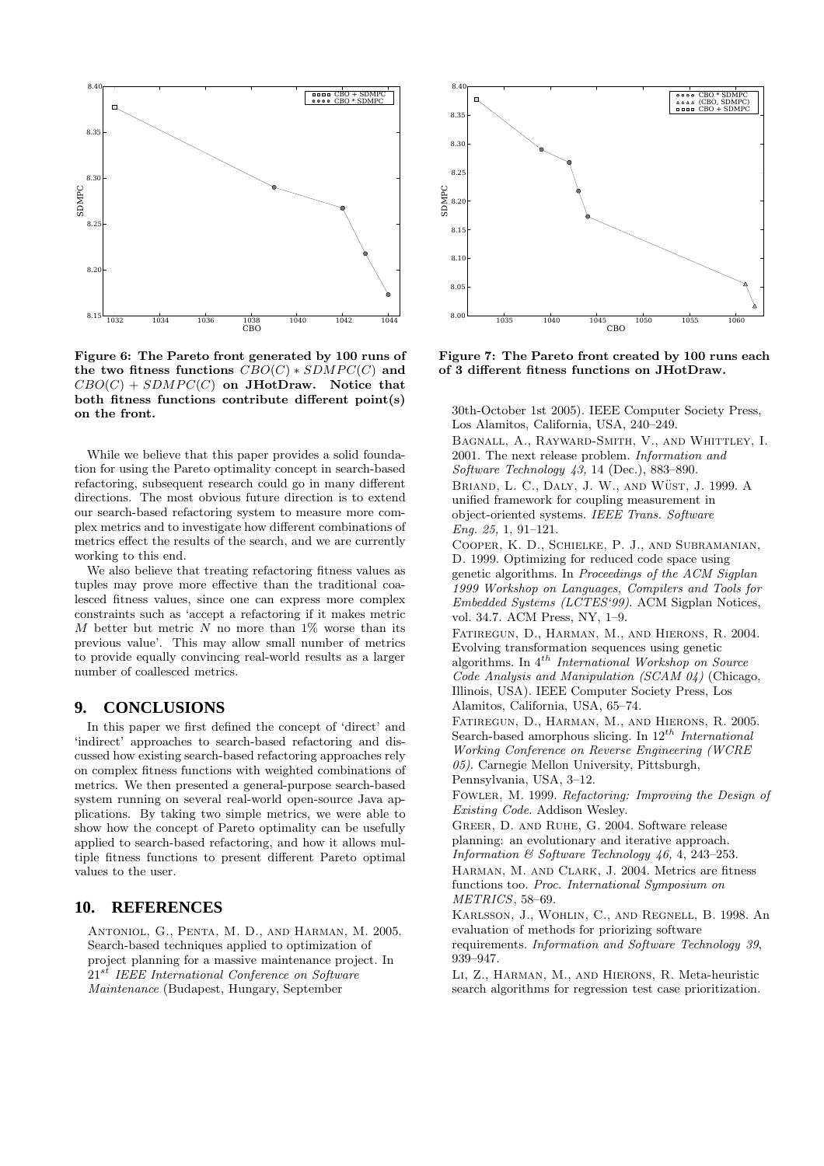

Figure 6: The Pareto front generated by 100 runs of the two fitness functions  $CBO(C) * SDMPC(C)$  and  $CBO(C) + SDMPC(C)$  on JHotDraw. Notice that both fitness functions contribute different point(s) on the front.

While we believe that this paper provides a solid foundation for using the Pareto optimality concept in search-based refactoring, subsequent research could go in many different directions. The most obvious future direction is to extend our search-based refactoring system to measure more complex metrics and to investigate how different combinations of metrics effect the results of the search, and we are currently working to this end.

We also believe that treating refactoring fitness values as tuples may prove more effective than the traditional coalesced fitness values, since one can express more complex constraints such as 'accept a refactoring if it makes metric M better but metric N no more than  $1\%$  worse than its previous value'. This may allow small number of metrics to provide equally convincing real-world results as a larger number of coallesced metrics.

## **9. CONCLUSIONS**

In this paper we first defined the concept of 'direct' and 'indirect' approaches to search-based refactoring and discussed how existing search-based refactoring approaches rely on complex fitness functions with weighted combinations of metrics. We then presented a general-purpose search-based system running on several real-world open-source Java applications. By taking two simple metrics, we were able to show how the concept of Pareto optimality can be usefully applied to search-based refactoring, and how it allows multiple fitness functions to present different Pareto optimal values to the user.

# **10. REFERENCES**

Antoniol, G., Penta, M. D., and Harman, M. 2005. Search-based techniques applied to optimization of project planning for a massive maintenance project. In  $21^{st}$  IEEE International Conference on Software Maintenance (Budapest, Hungary, September



Figure 7: The Pareto front created by 100 runs each of 3 different fitness functions on JHotDraw.

30th-October 1st 2005). IEEE Computer Society Press, Los Alamitos, California, USA, 240–249. Bagnall, A., Rayward-Smith, V., and Whittley, I. 2001. The next release problem. Information and Software Technology 43, 14 (Dec.), 883–890. BRIAND, L. C., DALY, J. W., AND WÜST, J. 1999. A unified framework for coupling measurement in object-oriented systems. IEEE Trans. Software Eng. 25, 1, 91–121. Cooper, K. D., Schielke, P. J., and Subramanian, D. 1999. Optimizing for reduced code space using genetic algorithms. In Proceedings of the ACM Sigplan 1999 Workshop on Languages, Compilers and Tools for Embedded Systems (LCTES'99). ACM Sigplan Notices, vol. 34.7. ACM Press, NY, 1–9. Fatiregun, D., Harman, M., and Hierons, R. 2004. Evolving transformation sequences using genetic algorithms. In  $4^{th}$  International Workshop on Source Code Analysis and Manipulation (SCAM 04) (Chicago, Illinois, USA). IEEE Computer Society Press, Los Alamitos, California, USA, 65–74. Fatiregun, D., Harman, M., and Hierons, R. 2005. Search-based amorphous slicing. In  $12^{th}\ International$ Working Conference on Reverse Engineering (WCRE 05). Carnegie Mellon University, Pittsburgh, Pennsylvania, USA, 3–12. Fowler, M. 1999. Refactoring: Improving the Design of Existing Code. Addison Wesley. Greer, D. and Ruhe, G. 2004. Software release planning: an evolutionary and iterative approach. Information & Software Technology 46, 4, 243–253. Harman, M. and Clark, J. 2004. Metrics are fitness functions too. Proc. International Symposium on METRICS, 58–69. Karlsson, J., Wohlin, C., and Regnell, B. 1998. An evaluation of methods for priorizing software requirements. Information and Software Technology 39, 939–947.

Li, Z., Harman, M., and Hierons, R. Meta-heuristic search algorithms for regression test case prioritization.